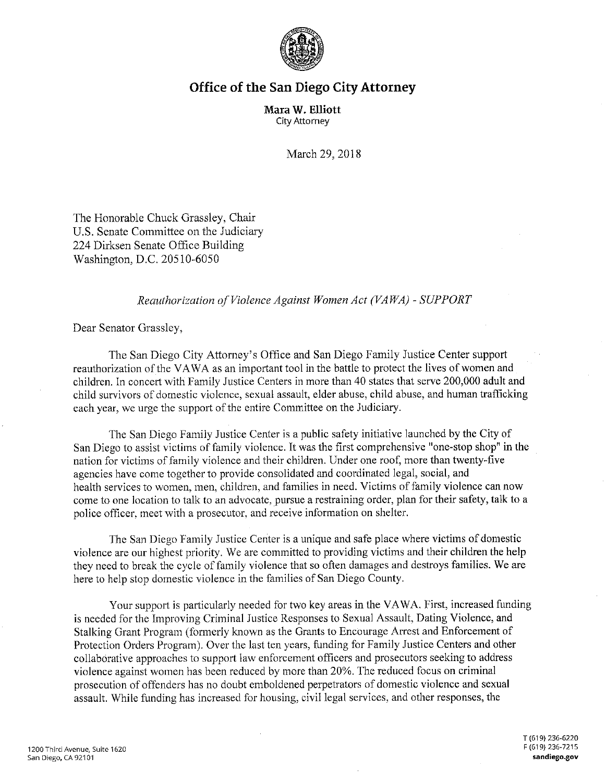

## **Office of the San Diego City Attorney**

**Mara W. Elliott**  City Attorney

March 29, 2018

The Honorable Chuck Grassley, Chair U.S. Senate Committee on the Judiciary 224 Dirksen Senate Office Building Washington, D.C. 20510-6050

*Reauthorization of Violence Against Women Act (VAWA)* - *SUPPORT* 

Dear Senator Grassley,

The San Diego City Attorney's Office and San Diego Family Justice Center support reauthorization of the VA WA as an important tool in the battle to protect the lives of women and children. In concert with Family Justice Centers in more than 40 states that serve 200,000 adult and child survivors of domestic violence, sexual assault, elder abuse, child abuse, and human trafficking each year, we urge the support of the entire Committee on the Judiciary.

The San Diego Family Justice Center is a public safety initiative launched by the City of San Diego to assist victims of family violence. It was the first comprehensive "one-stop shop" in the nation for victims of family violence and their children. Under one roof, more than twenty-five agencies have come together to provide consolidated and coordinated legal, social, and health services to women, men, children, and families in need. Victims of family violence can now come to one location to talk to an advocate, pursue a restraining order, plan for their safety, talk to a police officer, meet with a prosecutor, and receive information on shelter.

The San Diego Family Justice Center is a unique and safe place where victims of domestic violence are our highest priority. We are committed to providing victims and their children the help they need to break the cycle of family violence that so often damages and destroys families. We are here to help stop domestic violence in the families of San Diego County.

Your support is particularly needed for two key areas in the VA WA. First, increased funding is needed for the Improving Criminal Justice Responses to Sexual Assault, Dating Violence, and Stalking Grant Program (formerly known as the Grants to Encourage Arrest and Enforcement of Protection Orders Program). Over the last ten years, funding for Family Justice Centers and other collaborative approaches to support law enforcement officers and prosecutors seeking to address violence against women has been reduced by more than 20%. The reduced focus on criminal prosecution of offenders has no doubt emboldened perpetrators of domestic violence and sexual assault. While funding has increased for housing, civil legal services, and other responses, the

T (619) 236-6220 F (619) 236-7215 **sandiego.gov**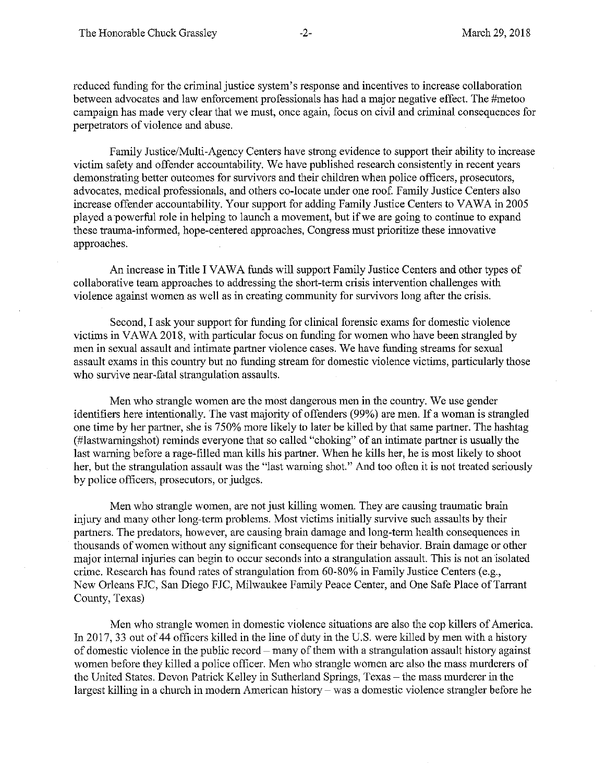reduced funding for the criminal justice system's response and incentives to increase collaboration between advocates and law enforcement professionals has had a major negative effect. The #metoo campaign has made very clear that we must, once again, focus on civil and criminal consequences for perpetrators of violence and abuse.

Family Justice/Multi-Agency Centers have strong evidence to support their ability to increase victim safety and offender accountability. We have published research consistently in recent years demonstrating better outcomes for survivors and their children when police officers, prosecutors, advocates, medical professionals, and others co-locate under one roof. Family Justice Centers also increase offender accountability. Your support for adding Family Justice Centers to VAWA in 2005 played a powerful role in helping to launch a movement, but if we are going to continue to expand these trauma-informed, hope-centered approaches, Congress must prioritize these innovative approaches.

An increase in Title I VAWA funds will support Family Justice Centers and other types of collaborative team approaches to addressing the short-term crisis intervention challenges with violence against women as well as in creating community for survivors long after the crisis.

Second, I ask your support for funding for clinical forensic exams for domestic violence victims in VA WA 2018, with particular focus on funding for women who have been strangled by men in sexual assault and intimate partner violence cases. We have funding streams for sexual assault exams in this country but no funding stream for domestic violence victims, particularly those who survive near-fatal strangulation assaults.

Men who strangle women are the most dangerous men in the country. We use gender identifiers here intentionally. The vast majority of offenders (99%) are men. If a woman is strangled one time by her partner, she is 750% more likely to later be killed by that same partner. The hashtag (#lastwarningshot) reminds everyone that so called "choking" of an intimate partner is usually the last warning before a rage-filled man kills his partner. When he kills her, he is most likely to shoot her, but the strangulation assault was the "last warning shot." And too often it is not treated seriously by police officers, prosecutors, or judges.

Men who strangle women, are not just killing women. They are causing traumatic brain injury and many other long-term problems. Most victims initially survive such assaults by their partners. The predators, however, are causing brain damage and long-term health consequences in thousands of women without any significant consequence for their behavior. Brain damage or other major internal injuries can begin to occur seconds into a strangulation assault. This is not an isolated crime. Research has found rates of strangulation from 60-80% in Family Justice Centers (e.g., New Orleans FJC, San Diego FJC, Milwaukee Family Peace Center, and One Safe Place of Tarrant County, Texas)

Men who strangle women in domestic violence situations are also the cop killers of America. In 2017, 33 out of 44 officers killed in the line of duty in the U.S. were killed by men with a history of domestic violence in the public record- many of them with a strangulation assault history against women before they killed a police officer. Men who strangle women are also the mass murderers of the United States. Devon Patrick Kelley in Sutherland Springs, Texas - the mass murderer in the largest killing in a church in modem American history - was a domestic violence strangler before he